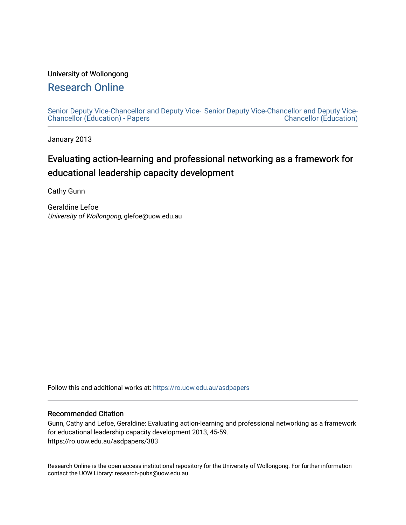### University of Wollongong

# [Research Online](https://ro.uow.edu.au/)

[Senior Deputy Vice-Chancellor and Deputy Vice-](https://ro.uow.edu.au/asdpapers)[Senior Deputy Vice-Chancellor and Deputy Vice-](https://ro.uow.edu.au/asd)[Chancellor \(Education\) - Papers](https://ro.uow.edu.au/asdpapers)  [Chancellor \(Education\)](https://ro.uow.edu.au/asd) 

January 2013

# Evaluating action-learning and professional networking as a framework for educational leadership capacity development

Cathy Gunn

Geraldine Lefoe University of Wollongong, glefoe@uow.edu.au

Follow this and additional works at: [https://ro.uow.edu.au/asdpapers](https://ro.uow.edu.au/asdpapers?utm_source=ro.uow.edu.au%2Fasdpapers%2F383&utm_medium=PDF&utm_campaign=PDFCoverPages) 

### Recommended Citation

Gunn, Cathy and Lefoe, Geraldine: Evaluating action-learning and professional networking as a framework for educational leadership capacity development 2013, 45-59. https://ro.uow.edu.au/asdpapers/383

Research Online is the open access institutional repository for the University of Wollongong. For further information contact the UOW Library: research-pubs@uow.edu.au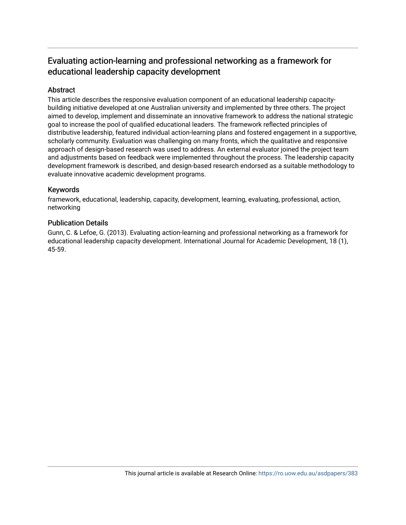## Evaluating action-learning and professional networking as a framework for educational leadership capacity development

### Abstract

This article describes the responsive evaluation component of an educational leadership capacitybuilding initiative developed at one Australian university and implemented by three others. The project aimed to develop, implement and disseminate an innovative framework to address the national strategic goal to increase the pool of qualified educational leaders. The framework reflected principles of distributive leadership, featured individual action-learning plans and fostered engagement in a supportive, scholarly community. Evaluation was challenging on many fronts, which the qualitative and responsive approach of design-based research was used to address. An external evaluator joined the project team and adjustments based on feedback were implemented throughout the process. The leadership capacity development framework is described, and design-based research endorsed as a suitable methodology to evaluate innovative academic development programs.

### Keywords

framework, educational, leadership, capacity, development, learning, evaluating, professional, action, networking

### Publication Details

Gunn, C. & Lefoe, G. (2013). Evaluating action-learning and professional networking as a framework for educational leadership capacity development. International Journal for Academic Development, 18 (1), 45-59.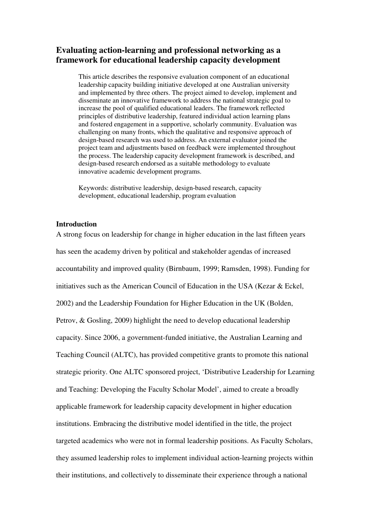### **Evaluating action-learning and professional networking as a framework for educational leadership capacity development**

This article describes the responsive evaluation component of an educational leadership capacity building initiative developed at one Australian university and implemented by three others. The project aimed to develop, implement and disseminate an innovative framework to address the national strategic goal to increase the pool of qualified educational leaders. The framework reflected principles of distributive leadership, featured individual action learning plans and fostered engagement in a supportive, scholarly community. Evaluation was challenging on many fronts, which the qualitative and responsive approach of design-based research was used to address. An external evaluator joined the project team and adjustments based on feedback were implemented throughout the process. The leadership capacity development framework is described, and design-based research endorsed as a suitable methodology to evaluate innovative academic development programs.

Keywords: distributive leadership, design-based research, capacity development, educational leadership, program evaluation

### **Introduction**

A strong focus on leadership for change in higher education in the last fifteen years has seen the academy driven by political and stakeholder agendas of increased accountability and improved quality (Birnbaum, 1999; Ramsden, 1998). Funding for initiatives such as the American Council of Education in the USA (Kezar & Eckel, 2002) and the Leadership Foundation for Higher Education in the UK (Bolden, Petrov, & Gosling, 2009) highlight the need to develop educational leadership capacity. Since 2006, a government-funded initiative, the Australian Learning and Teaching Council (ALTC), has provided competitive grants to promote this national strategic priority. One ALTC sponsored project, 'Distributive Leadership for Learning and Teaching: Developing the Faculty Scholar Model', aimed to create a broadly applicable framework for leadership capacity development in higher education institutions. Embracing the distributive model identified in the title, the project targeted academics who were not in formal leadership positions. As Faculty Scholars, they assumed leadership roles to implement individual action-learning projects within their institutions, and collectively to disseminate their experience through a national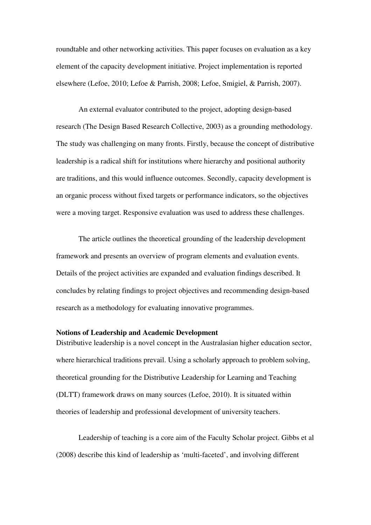roundtable and other networking activities. This paper focuses on evaluation as a key element of the capacity development initiative. Project implementation is reported elsewhere (Lefoe, 2010; Lefoe & Parrish, 2008; Lefoe, Smigiel, & Parrish, 2007).

An external evaluator contributed to the project, adopting design-based research (The Design Based Research Collective, 2003) as a grounding methodology. The study was challenging on many fronts. Firstly, because the concept of distributive leadership is a radical shift for institutions where hierarchy and positional authority are traditions, and this would influence outcomes. Secondly, capacity development is an organic process without fixed targets or performance indicators, so the objectives were a moving target. Responsive evaluation was used to address these challenges.

The article outlines the theoretical grounding of the leadership development framework and presents an overview of program elements and evaluation events. Details of the project activities are expanded and evaluation findings described. It concludes by relating findings to project objectives and recommending design-based research as a methodology for evaluating innovative programmes.

### **Notions of Leadership and Academic Development**

Distributive leadership is a novel concept in the Australasian higher education sector, where hierarchical traditions prevail. Using a scholarly approach to problem solving, theoretical grounding for the Distributive Leadership for Learning and Teaching (DLTT) framework draws on many sources (Lefoe, 2010). It is situated within theories of leadership and professional development of university teachers.

Leadership of teaching is a core aim of the Faculty Scholar project. Gibbs et al (2008) describe this kind of leadership as 'multi-faceted', and involving different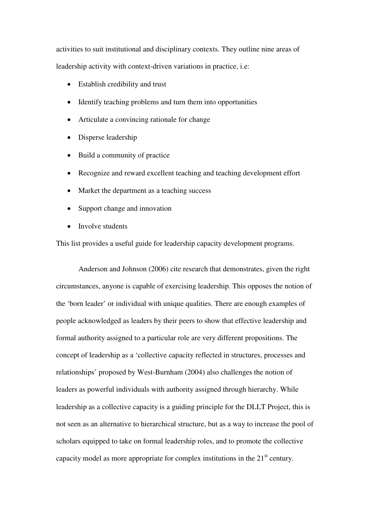activities to suit institutional and disciplinary contexts. They outline nine areas of leadership activity with context-driven variations in practice, i.e:

- Establish credibility and trust
- Identify teaching problems and turn them into opportunities
- Articulate a convincing rationale for change
- Disperse leadership
- Build a community of practice
- Recognize and reward excellent teaching and teaching development effort
- Market the department as a teaching success
- Support change and innovation
- Involve students

This list provides a useful guide for leadership capacity development programs.

Anderson and Johnson (2006) cite research that demonstrates, given the right circumstances, anyone is capable of exercising leadership. This opposes the notion of the 'born leader' or individual with unique qualities. There are enough examples of people acknowledged as leaders by their peers to show that effective leadership and formal authority assigned to a particular role are very different propositions. The concept of leadership as a 'collective capacity reflected in structures, processes and relationships' proposed by West-Burnham (2004) also challenges the notion of leaders as powerful individuals with authority assigned through hierarchy. While leadership as a collective capacity is a guiding principle for the DLLT Project, this is not seen as an alternative to hierarchical structure, but as a way to increase the pool of scholars equipped to take on formal leadership roles, and to promote the collective capacity model as more appropriate for complex institutions in the  $21<sup>st</sup>$  century.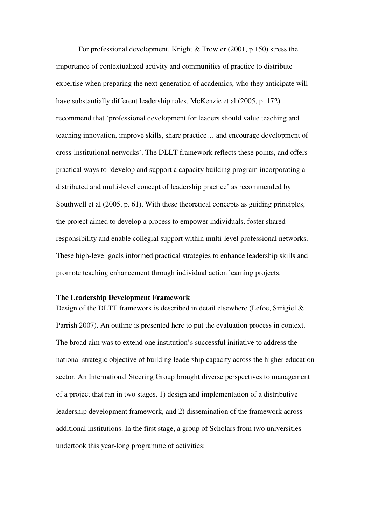For professional development, Knight & Trowler (2001, p 150) stress the importance of contextualized activity and communities of practice to distribute expertise when preparing the next generation of academics, who they anticipate will have substantially different leadership roles. McKenzie et al (2005, p. 172) recommend that 'professional development for leaders should value teaching and teaching innovation, improve skills, share practice… and encourage development of cross-institutional networks'. The DLLT framework reflects these points, and offers practical ways to 'develop and support a capacity building program incorporating a distributed and multi-level concept of leadership practice' as recommended by Southwell et al (2005, p. 61). With these theoretical concepts as guiding principles, the project aimed to develop a process to empower individuals, foster shared responsibility and enable collegial support within multi-level professional networks. These high-level goals informed practical strategies to enhance leadership skills and promote teaching enhancement through individual action learning projects.

### **The Leadership Development Framework**

Design of the DLTT framework is described in detail elsewhere (Lefoe, Smigiel & Parrish 2007). An outline is presented here to put the evaluation process in context. The broad aim was to extend one institution's successful initiative to address the national strategic objective of building leadership capacity across the higher education sector. An International Steering Group brought diverse perspectives to management of a project that ran in two stages, 1) design and implementation of a distributive leadership development framework, and 2) dissemination of the framework across additional institutions. In the first stage, a group of Scholars from two universities undertook this year-long programme of activities: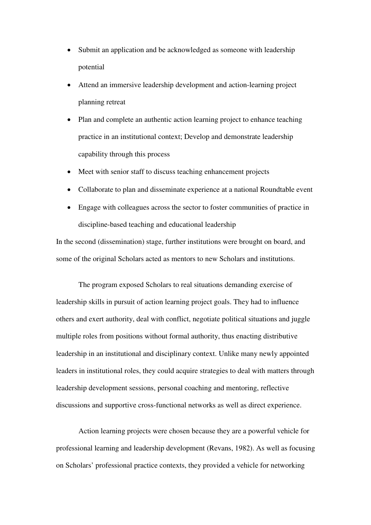- Submit an application and be acknowledged as someone with leadership potential
- Attend an immersive leadership development and action-learning project planning retreat
- Plan and complete an authentic action learning project to enhance teaching practice in an institutional context; Develop and demonstrate leadership capability through this process
- Meet with senior staff to discuss teaching enhancement projects
- Collaborate to plan and disseminate experience at a national Roundtable event
- Engage with colleagues across the sector to foster communities of practice in discipline-based teaching and educational leadership

In the second (dissemination) stage, further institutions were brought on board, and some of the original Scholars acted as mentors to new Scholars and institutions.

The program exposed Scholars to real situations demanding exercise of leadership skills in pursuit of action learning project goals. They had to influence others and exert authority, deal with conflict, negotiate political situations and juggle multiple roles from positions without formal authority, thus enacting distributive leadership in an institutional and disciplinary context. Unlike many newly appointed leaders in institutional roles, they could acquire strategies to deal with matters through leadership development sessions, personal coaching and mentoring, reflective discussions and supportive cross-functional networks as well as direct experience.

Action learning projects were chosen because they are a powerful vehicle for professional learning and leadership development (Revans, 1982). As well as focusing on Scholars' professional practice contexts, they provided a vehicle for networking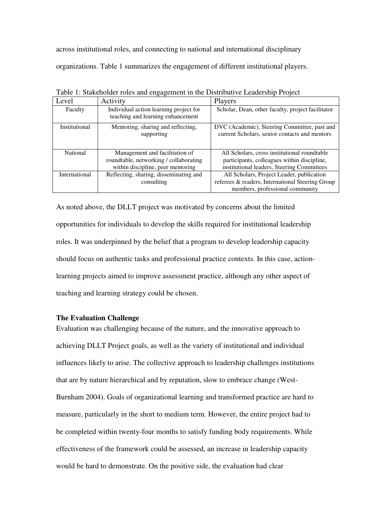across institutional roles, and connecting to national and international disciplinary organizations. Table 1 summarizes the engagement of different institutional players.

|                      | ັັ                                                                                                            |                                                                                                                                           |
|----------------------|---------------------------------------------------------------------------------------------------------------|-------------------------------------------------------------------------------------------------------------------------------------------|
| Level                | Activity                                                                                                      | Players                                                                                                                                   |
| Faculty              | Individual action learning project for<br>teaching and learning enhancement                                   | Scholar, Dean, other faculty, project facilitator                                                                                         |
| Institutional        | Mentoring, sharing and reflecting,<br>supporting                                                              | DVC (Academic), Steering Committee, past and<br>current Scholars, senior contacts and mentors                                             |
| National             | Management and facilitation of<br>roundtable, networking / collaborating<br>within discipline, peer mentoring | All Scholars, cross institutional roundtable<br>participants, colleagues within discipline,<br>institutional leaders, Steering Committees |
| <b>International</b> | Reflecting, sharing, disseminating and<br>consulting                                                          | All Scholars, Project Leader, publication<br>referees & readers, International Steering Group<br>members, professional community          |

Table 1: Stakeholder roles and engagement in the Distributive Leadership Project

As noted above, the DLLT project was motivated by concerns about the limited opportunities for individuals to develop the skills required for institutional leadership roles. It was underpinned by the belief that a program to develop leadership capacity should focus on authentic tasks and professional practice contexts. In this case, actionlearning projects aimed to improve assessment practice, although any other aspect of teaching and learning strategy could be chosen.

### **The Evaluation Challenge**

Evaluation was challenging because of the nature, and the innovative approach to achieving DLLT Project goals, as well as the variety of institutional and individual influences likely to arise. The collective approach to leadership challenges institutions that are by nature hierarchical and by reputation, slow to embrace change (West-Burnham 2004). Goals of organizational learning and transformed practice are hard to measure, particularly in the short to medium term. However, the entire project had to be completed within twenty-four months to satisfy funding body requirements. While effectiveness of the framework could be assessed, an increase in leadership capacity would be hard to demonstrate. On the positive side, the evaluation had clear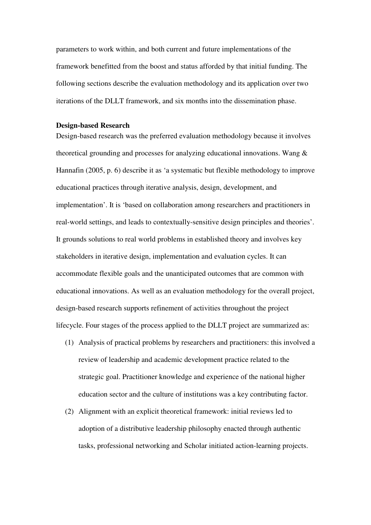parameters to work within, and both current and future implementations of the framework benefitted from the boost and status afforded by that initial funding. The following sections describe the evaluation methodology and its application over two iterations of the DLLT framework, and six months into the dissemination phase.

#### **Design-based Research**

Design-based research was the preferred evaluation methodology because it involves theoretical grounding and processes for analyzing educational innovations. Wang & Hannafin (2005, p. 6) describe it as 'a systematic but flexible methodology to improve educational practices through iterative analysis, design, development, and implementation'. It is 'based on collaboration among researchers and practitioners in real-world settings, and leads to contextually-sensitive design principles and theories'. It grounds solutions to real world problems in established theory and involves key stakeholders in iterative design, implementation and evaluation cycles. It can accommodate flexible goals and the unanticipated outcomes that are common with educational innovations. As well as an evaluation methodology for the overall project, design-based research supports refinement of activities throughout the project lifecycle. Four stages of the process applied to the DLLT project are summarized as:

- (1) Analysis of practical problems by researchers and practitioners: this involved a review of leadership and academic development practice related to the strategic goal. Practitioner knowledge and experience of the national higher education sector and the culture of institutions was a key contributing factor.
- (2) Alignment with an explicit theoretical framework: initial reviews led to adoption of a distributive leadership philosophy enacted through authentic tasks, professional networking and Scholar initiated action-learning projects.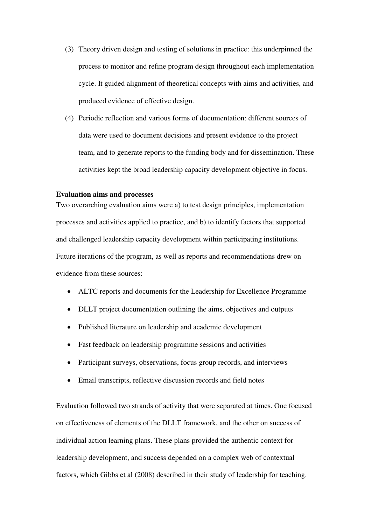- (3) Theory driven design and testing of solutions in practice: this underpinned the process to monitor and refine program design throughout each implementation cycle. It guided alignment of theoretical concepts with aims and activities, and produced evidence of effective design.
- (4) Periodic reflection and various forms of documentation: different sources of data were used to document decisions and present evidence to the project team, and to generate reports to the funding body and for dissemination. These activities kept the broad leadership capacity development objective in focus.

#### **Evaluation aims and processes**

Two overarching evaluation aims were a) to test design principles, implementation processes and activities applied to practice, and b) to identify factors that supported and challenged leadership capacity development within participating institutions. Future iterations of the program, as well as reports and recommendations drew on evidence from these sources:

- ALTC reports and documents for the Leadership for Excellence Programme
- DLLT project documentation outlining the aims, objectives and outputs
- Published literature on leadership and academic development
- Fast feedback on leadership programme sessions and activities
- Participant surveys, observations, focus group records, and interviews
- Email transcripts, reflective discussion records and field notes

Evaluation followed two strands of activity that were separated at times. One focused on effectiveness of elements of the DLLT framework, and the other on success of individual action learning plans. These plans provided the authentic context for leadership development, and success depended on a complex web of contextual factors, which Gibbs et al (2008) described in their study of leadership for teaching.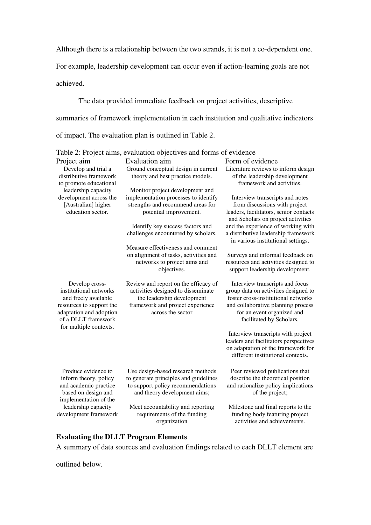Although there is a relationship between the two strands, it is not a co-dependent one.

For example, leadership development can occur even if action-learning goals are not

achieved.

The data provided immediate feedback on project activities, descriptive summaries of framework implementation in each institution and qualitative indicators of impact. The evaluation plan is outlined in Table 2.

|                                                                                                                                                                          | Table 2: Project aims, evaluation objectives and forms of evidence                                                                                                |                                                                                                                                                                                                                |
|--------------------------------------------------------------------------------------------------------------------------------------------------------------------------|-------------------------------------------------------------------------------------------------------------------------------------------------------------------|----------------------------------------------------------------------------------------------------------------------------------------------------------------------------------------------------------------|
| Project aim                                                                                                                                                              | Evaluation aim                                                                                                                                                    | Form of evidence                                                                                                                                                                                               |
| Develop and trial a<br>distributive framework<br>to promote educational                                                                                                  | Ground conceptual design in current<br>theory and best practice models.                                                                                           | Literature reviews to inform design<br>of the leadership development<br>framework and activities.                                                                                                              |
| leadership capacity                                                                                                                                                      | Monitor project development and                                                                                                                                   |                                                                                                                                                                                                                |
| development across the<br>[Australian] higher<br>education sector.                                                                                                       | implementation processes to identify<br>strengths and recommend areas for<br>potential improvement.                                                               | Interview transcripts and notes<br>from discussions with project<br>leaders, facilitators, senior contacts<br>and Scholars on project activities                                                               |
|                                                                                                                                                                          | Identify key success factors and<br>challenges encountered by scholars.                                                                                           | and the experience of working with<br>a distributive leadership framework<br>in various institutional settings.                                                                                                |
|                                                                                                                                                                          | Measure effectiveness and comment<br>on alignment of tasks, activities and<br>networks to project aims and<br>objectives.                                         | Surveys and informal feedback on<br>resources and activities designed to<br>support leadership development.                                                                                                    |
| Develop cross-<br>institutional networks<br>and freely available<br>resources to support the<br>adaptation and adoption<br>of a DLLT framework<br>for multiple contexts. | Review and report on the efficacy of<br>activities designed to disseminate<br>the leadership development<br>framework and project experience<br>across the sector | Interview transcripts and focus<br>group data on activities designed to<br>foster cross-institutional networks<br>and collaborative planning process<br>for an event organized and<br>facilitated by Scholars. |
|                                                                                                                                                                          |                                                                                                                                                                   | Interview transcripts with project<br>leaders and facilitators perspectives<br>on adaptation of the framework for<br>different institutional contexts.                                                         |
| Produce evidence to<br>inform theory, policy<br>and academic practice<br>based on design and<br>implementation of the                                                    | Use design-based research methods<br>to generate principles and guidelines<br>to support policy recommendations<br>and theory development aims;                   | Peer reviewed publications that<br>describe the theoretical position<br>and rationalize policy implications<br>of the project;                                                                                 |
| leadership capacity<br>development framework                                                                                                                             | Meet accountability and reporting<br>requirements of the funding<br>organization                                                                                  | Milestone and final reports to the<br>funding body featuring project<br>activities and achievements.                                                                                                           |

### **Evaluating the DLLT Program Elements**

A summary of data sources and evaluation findings related to each DLLT element are

outlined below.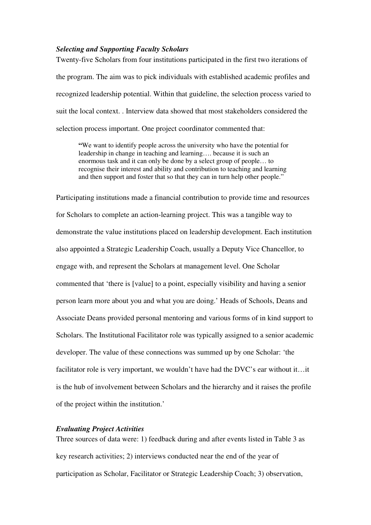### *Selecting and Supporting Faculty Scholars*

Twenty-five Scholars from four institutions participated in the first two iterations of the program. The aim was to pick individuals with established academic profiles and recognized leadership potential. Within that guideline, the selection process varied to suit the local context. . Interview data showed that most stakeholders considered the selection process important. One project coordinator commented that:

**"**We want to identify people across the university who have the potential for leadership in change in teaching and learning…. because it is such an enormous task and it can only be done by a select group of people… to recognise their interest and ability and contribution to teaching and learning and then support and foster that so that they can in turn help other people."

Participating institutions made a financial contribution to provide time and resources for Scholars to complete an action-learning project. This was a tangible way to demonstrate the value institutions placed on leadership development. Each institution also appointed a Strategic Leadership Coach, usually a Deputy Vice Chancellor, to engage with, and represent the Scholars at management level. One Scholar commented that 'there is [value] to a point, especially visibility and having a senior person learn more about you and what you are doing.' Heads of Schools, Deans and Associate Deans provided personal mentoring and various forms of in kind support to Scholars. The Institutional Facilitator role was typically assigned to a senior academic developer. The value of these connections was summed up by one Scholar: 'the facilitator role is very important, we wouldn't have had the DVC's ear without it…it is the hub of involvement between Scholars and the hierarchy and it raises the profile of the project within the institution.'

### *Evaluating Project Activities*

Three sources of data were: 1) feedback during and after events listed in Table 3 as key research activities; 2) interviews conducted near the end of the year of participation as Scholar, Facilitator or Strategic Leadership Coach; 3) observation,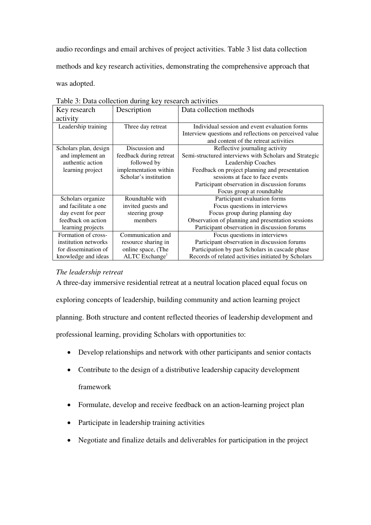audio recordings and email archives of project activities. Table 3 list data collection

methods and key research activities, demonstrating the comprehensive approach that

was adopted.

| Key research          | Description                | Data collection methods                                |
|-----------------------|----------------------------|--------------------------------------------------------|
| activity              |                            |                                                        |
| Leadership training   | Three day retreat          | Individual session and event evaluation forms          |
|                       |                            | Interview questions and reflections on perceived value |
|                       |                            | and content of the retreat activities                  |
| Scholars plan, design | Discussion and             | Reflective journaling activity                         |
| and implement an      | feedback during retreat    | Semi-structured interviews with Scholars and Strategic |
| authentic action      | followed by                | Leadership Coaches                                     |
| learning project      | implementation within      | Feedback on project planning and presentation          |
|                       | Scholar's institution      | sessions at face to face events                        |
|                       |                            | Participant observation in discussion forums           |
|                       |                            | Focus group at roundtable                              |
| Scholars organize     | Roundtable with            | Participant evaluation forms                           |
| and facilitate a one  | invited guests and         | Focus questions in interviews                          |
| day event for peer    | steering group             | Focus group during planning day                        |
| feedback on action    | members                    | Observation of planning and presentation sessions      |
| learning projects     |                            | Participant observation in discussion forums           |
| Formation of cross-   | Communication and          | Focus questions in interviews                          |
| institution networks  | resource sharing in        | Participant observation in discussion forums           |
| for dissemination of  | online space, (The         | Participation by past Scholars in cascade phase        |
| knowledge and ideas   | ALTC Exchange <sup>)</sup> | Records of related activities initiated by Scholars    |

Table 3: Data collection during key research activities

### *The leadership retreat*

A three-day immersive residential retreat at a neutral location placed equal focus on exploring concepts of leadership, building community and action learning project planning. Both structure and content reflected theories of leadership development and professional learning, providing Scholars with opportunities to:

- Develop relationships and network with other participants and senior contacts
- Contribute to the design of a distributive leadership capacity development framework
- Formulate, develop and receive feedback on an action-learning project plan
- Participate in leadership training activities
- Negotiate and finalize details and deliverables for participation in the project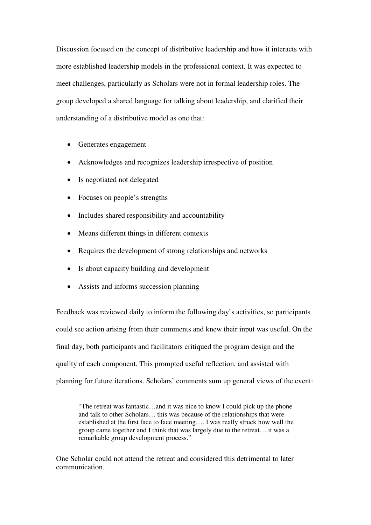Discussion focused on the concept of distributive leadership and how it interacts with more established leadership models in the professional context. It was expected to meet challenges, particularly as Scholars were not in formal leadership roles. The group developed a shared language for talking about leadership, and clarified their understanding of a distributive model as one that:

- Generates engagement
- Acknowledges and recognizes leadership irrespective of position
- Is negotiated not delegated
- Focuses on people's strengths
- Includes shared responsibility and accountability
- Means different things in different contexts
- Requires the development of strong relationships and networks
- Is about capacity building and development
- Assists and informs succession planning

Feedback was reviewed daily to inform the following day's activities, so participants could see action arising from their comments and knew their input was useful. On the final day, both participants and facilitators critiqued the program design and the quality of each component. This prompted useful reflection, and assisted with planning for future iterations. Scholars' comments sum up general views of the event:

"The retreat was fantastic…and it was nice to know I could pick up the phone and talk to other Scholars… this was because of the relationships that were established at the first face to face meeting…. I was really struck how well the group came together and I think that was largely due to the retreat… it was a remarkable group development process."

One Scholar could not attend the retreat and considered this detrimental to later communication.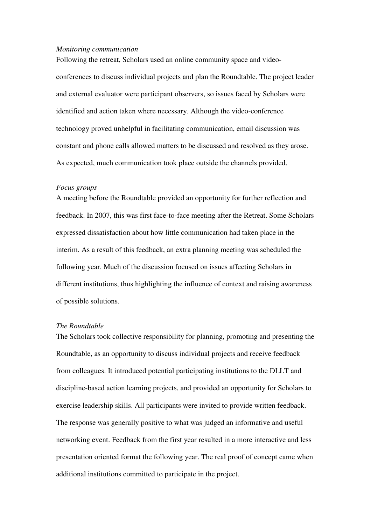#### *Monitoring communication*

Following the retreat, Scholars used an online community space and videoconferences to discuss individual projects and plan the Roundtable. The project leader and external evaluator were participant observers, so issues faced by Scholars were identified and action taken where necessary. Although the video-conference technology proved unhelpful in facilitating communication, email discussion was constant and phone calls allowed matters to be discussed and resolved as they arose. As expected, much communication took place outside the channels provided.

### *Focus groups*

A meeting before the Roundtable provided an opportunity for further reflection and feedback. In 2007, this was first face-to-face meeting after the Retreat. Some Scholars expressed dissatisfaction about how little communication had taken place in the interim. As a result of this feedback, an extra planning meeting was scheduled the following year. Much of the discussion focused on issues affecting Scholars in different institutions, thus highlighting the influence of context and raising awareness of possible solutions.

### *The Roundtable*

The Scholars took collective responsibility for planning, promoting and presenting the Roundtable, as an opportunity to discuss individual projects and receive feedback from colleagues. It introduced potential participating institutions to the DLLT and discipline-based action learning projects, and provided an opportunity for Scholars to exercise leadership skills. All participants were invited to provide written feedback. The response was generally positive to what was judged an informative and useful networking event. Feedback from the first year resulted in a more interactive and less presentation oriented format the following year. The real proof of concept came when additional institutions committed to participate in the project.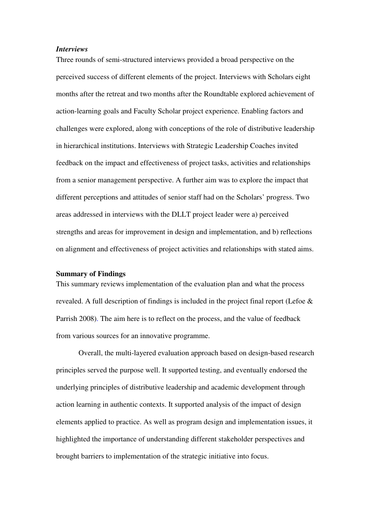#### *Interviews*

Three rounds of semi-structured interviews provided a broad perspective on the perceived success of different elements of the project. Interviews with Scholars eight months after the retreat and two months after the Roundtable explored achievement of action-learning goals and Faculty Scholar project experience. Enabling factors and challenges were explored, along with conceptions of the role of distributive leadership in hierarchical institutions. Interviews with Strategic Leadership Coaches invited feedback on the impact and effectiveness of project tasks, activities and relationships from a senior management perspective. A further aim was to explore the impact that different perceptions and attitudes of senior staff had on the Scholars' progress. Two areas addressed in interviews with the DLLT project leader were a) perceived strengths and areas for improvement in design and implementation, and b) reflections on alignment and effectiveness of project activities and relationships with stated aims.

#### **Summary of Findings**

This summary reviews implementation of the evaluation plan and what the process revealed. A full description of findings is included in the project final report (Lefoe & Parrish 2008). The aim here is to reflect on the process, and the value of feedback from various sources for an innovative programme.

Overall, the multi-layered evaluation approach based on design-based research principles served the purpose well. It supported testing, and eventually endorsed the underlying principles of distributive leadership and academic development through action learning in authentic contexts. It supported analysis of the impact of design elements applied to practice. As well as program design and implementation issues, it highlighted the importance of understanding different stakeholder perspectives and brought barriers to implementation of the strategic initiative into focus.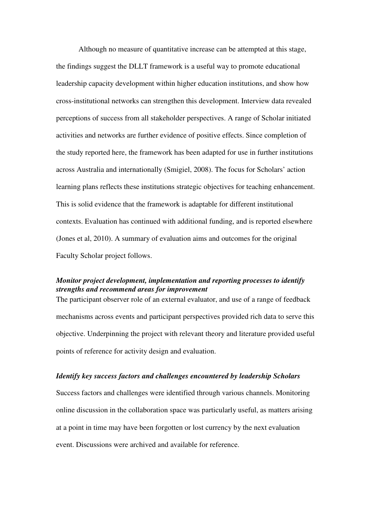Although no measure of quantitative increase can be attempted at this stage, the findings suggest the DLLT framework is a useful way to promote educational leadership capacity development within higher education institutions, and show how cross-institutional networks can strengthen this development. Interview data revealed perceptions of success from all stakeholder perspectives. A range of Scholar initiated activities and networks are further evidence of positive effects. Since completion of the study reported here, the framework has been adapted for use in further institutions across Australia and internationally (Smigiel, 2008). The focus for Scholars' action learning plans reflects these institutions strategic objectives for teaching enhancement. This is solid evidence that the framework is adaptable for different institutional contexts. Evaluation has continued with additional funding, and is reported elsewhere (Jones et al, 2010). A summary of evaluation aims and outcomes for the original Faculty Scholar project follows.

### *Monitor project development, implementation and reporting processes to identify strengths and recommend areas for improvement*

The participant observer role of an external evaluator, and use of a range of feedback mechanisms across events and participant perspectives provided rich data to serve this objective. Underpinning the project with relevant theory and literature provided useful points of reference for activity design and evaluation.

### *Identify key success factors and challenges encountered by leadership Scholars*

Success factors and challenges were identified through various channels. Monitoring online discussion in the collaboration space was particularly useful, as matters arising at a point in time may have been forgotten or lost currency by the next evaluation event. Discussions were archived and available for reference.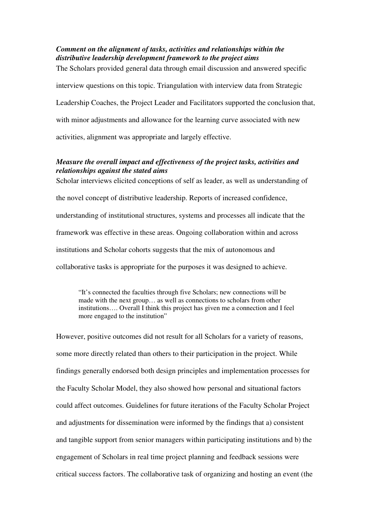### *Comment on the alignment of tasks, activities and relationships within the distributive leadership development framework to the project aims*

The Scholars provided general data through email discussion and answered specific

interview questions on this topic. Triangulation with interview data from Strategic

Leadership Coaches, the Project Leader and Facilitators supported the conclusion that,

with minor adjustments and allowance for the learning curve associated with new

activities, alignment was appropriate and largely effective.

### *Measure the overall impact and effectiveness of the project tasks, activities and relationships against the stated aims*

Scholar interviews elicited conceptions of self as leader, as well as understanding of the novel concept of distributive leadership. Reports of increased confidence, understanding of institutional structures, systems and processes all indicate that the framework was effective in these areas. Ongoing collaboration within and across institutions and Scholar cohorts suggests that the mix of autonomous and collaborative tasks is appropriate for the purposes it was designed to achieve.

"It's connected the faculties through five Scholars; new connections will be made with the next group… as well as connections to scholars from other institutions…. Overall I think this project has given me a connection and I feel more engaged to the institution"

However, positive outcomes did not result for all Scholars for a variety of reasons, some more directly related than others to their participation in the project. While findings generally endorsed both design principles and implementation processes for the Faculty Scholar Model, they also showed how personal and situational factors could affect outcomes. Guidelines for future iterations of the Faculty Scholar Project and adjustments for dissemination were informed by the findings that a) consistent and tangible support from senior managers within participating institutions and b) the engagement of Scholars in real time project planning and feedback sessions were critical success factors. The collaborative task of organizing and hosting an event (the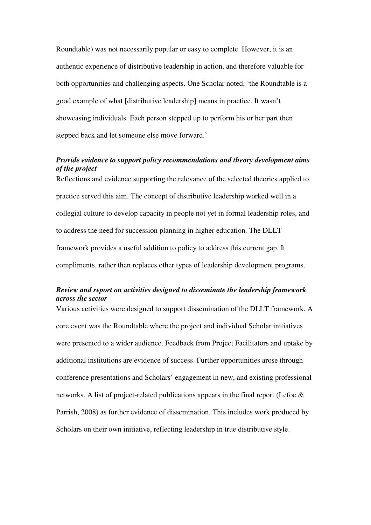Roundtable) was not necessarily popular or easy to complete. However, it is an authentic experience of distributive leadership in action, and therefore valuable for both opportunities and challenging aspects. One Scholar noted, 'the Roundtable is a good example of what [distributive leadership] means in practice. It wasn't showcasing individuals. Each person stepped up to perform his or her part then stepped back and let someone else move forward.'

### *Provide evidence to support policy recommendations and theory development aims of the project*

Reflections and evidence supporting the relevance of the selected theories applied to practice served this aim. The concept of distributive leadership worked well in a collegial culture to develop capacity in people not yet in formal leadership roles, and to address the need for succession planning in higher education. The DLLT framework provides a useful addition to policy to address this current gap. It compliments, rather then replaces other types of leadership development programs.

### *Review and report on activities designed to disseminate the leadership framework across the sector*

Various activities were designed to support dissemination of the DLLT framework. A core event was the Roundtable where the project and individual Scholar initiatives were presented to a wider audience. Feedback from Project Facilitators and uptake by additional institutions are evidence of success. Further opportunities arose through conference presentations and Scholars' engagement in new, and existing professional networks. A list of project-related publications appears in the final report (Lefoe & Parrish, 2008) as further evidence of dissemination. This includes work produced by Scholars on their own initiative, reflecting leadership in true distributive style.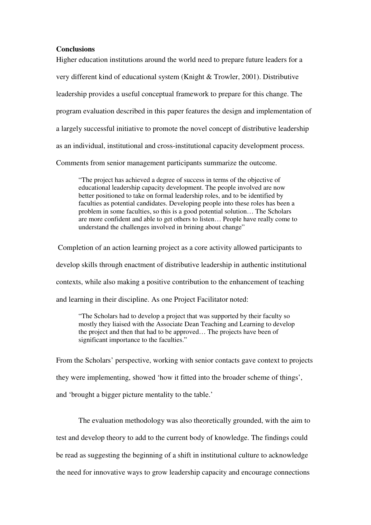#### **Conclusions**

Higher education institutions around the world need to prepare future leaders for a very different kind of educational system (Knight & Trowler, 2001). Distributive leadership provides a useful conceptual framework to prepare for this change. The program evaluation described in this paper features the design and implementation of a largely successful initiative to promote the novel concept of distributive leadership as an individual, institutional and cross-institutional capacity development process. Comments from senior management participants summarize the outcome.

"The project has achieved a degree of success in terms of the objective of educational leadership capacity development. The people involved are now better positioned to take on formal leadership roles, and to be identified by faculties as potential candidates. Developing people into these roles has been a problem in some faculties, so this is a good potential solution… The Scholars are more confident and able to get others to listen… People have really come to understand the challenges involved in brining about change"

 Completion of an action learning project as a core activity allowed participants to develop skills through enactment of distributive leadership in authentic institutional contexts, while also making a positive contribution to the enhancement of teaching and learning in their discipline. As one Project Facilitator noted:

"The Scholars had to develop a project that was supported by their faculty so mostly they liaised with the Associate Dean Teaching and Learning to develop the project and then that had to be approved… The projects have been of significant importance to the faculties."

From the Scholars' perspective, working with senior contacts gave context to projects they were implementing, showed 'how it fitted into the broader scheme of things', and 'brought a bigger picture mentality to the table.'

The evaluation methodology was also theoretically grounded, with the aim to test and develop theory to add to the current body of knowledge. The findings could be read as suggesting the beginning of a shift in institutional culture to acknowledge the need for innovative ways to grow leadership capacity and encourage connections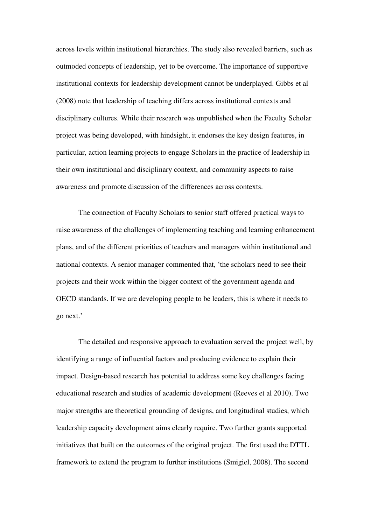across levels within institutional hierarchies. The study also revealed barriers, such as outmoded concepts of leadership, yet to be overcome. The importance of supportive institutional contexts for leadership development cannot be underplayed. Gibbs et al (2008) note that leadership of teaching differs across institutional contexts and disciplinary cultures. While their research was unpublished when the Faculty Scholar project was being developed, with hindsight, it endorses the key design features, in particular, action learning projects to engage Scholars in the practice of leadership in their own institutional and disciplinary context, and community aspects to raise awareness and promote discussion of the differences across contexts.

The connection of Faculty Scholars to senior staff offered practical ways to raise awareness of the challenges of implementing teaching and learning enhancement plans, and of the different priorities of teachers and managers within institutional and national contexts. A senior manager commented that, 'the scholars need to see their projects and their work within the bigger context of the government agenda and OECD standards. If we are developing people to be leaders, this is where it needs to go next.'

The detailed and responsive approach to evaluation served the project well, by identifying a range of influential factors and producing evidence to explain their impact. Design-based research has potential to address some key challenges facing educational research and studies of academic development (Reeves et al 2010). Two major strengths are theoretical grounding of designs, and longitudinal studies, which leadership capacity development aims clearly require. Two further grants supported initiatives that built on the outcomes of the original project. The first used the DTTL framework to extend the program to further institutions (Smigiel, 2008). The second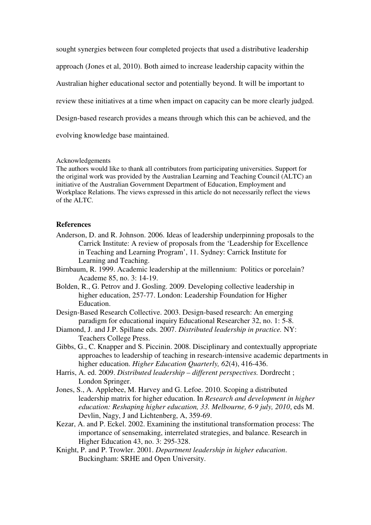sought synergies between four completed projects that used a distributive leadership approach (Jones et al, 2010). Both aimed to increase leadership capacity within the Australian higher educational sector and potentially beyond. It will be important to review these initiatives at a time when impact on capacity can be more clearly judged. Design-based research provides a means through which this can be achieved, and the evolving knowledge base maintained.

### Acknowledgements

The authors would like to thank all contributors from participating universities. Support for the original work was provided by the Australian Learning and Teaching Council (ALTC) an initiative of the Australian Government Department of Education, Employment and Workplace Relations. The views expressed in this article do not necessarily reflect the views of the ALTC.

#### **References**

- Anderson, D. and R. Johnson. 2006. Ideas of leadership underpinning proposals to the Carrick Institute: A review of proposals from the 'Leadership for Excellence in Teaching and Learning Program', 11. Sydney: Carrick Institute for Learning and Teaching.
- Birnbaum, R. 1999. Academic leadership at the millennium: Politics or porcelain? Academe 85, no. 3: 14-19.
- Bolden, R., G. Petrov and J. Gosling. 2009. Developing collective leadership in higher education, 257-77. London: Leadership Foundation for Higher Education.
- Design-Based Research Collective. 2003. Design-based research: An emerging paradigm for educational inquiry Educational Researcher 32, no. 1: 5-8.
- Diamond, J. and J.P. Spillane eds. 2007. *Distributed leadership in practice.* NY: Teachers College Press.
- Gibbs, G., C. Knapper and S. Piccinin. 2008. Disciplinary and contextually appropriate approaches to leadership of teaching in research-intensive academic departments in higher education. *Higher Education Quarterly, 62*(4), 416-436.
- Harris, A. ed. 2009. *Distributed leadership different perspectives.* Dordrecht ; London Springer.
- Jones, S., A. Applebee, M. Harvey and G. Lefoe. 2010. Scoping a distributed leadership matrix for higher education. In *Research and development in higher education: Reshaping higher education, 33. Melbourne, 6-9 july, 2010*, eds M. Devlin, Nagy, J and Lichtenberg, A, 359-69.
- Kezar, A. and P. Eckel. 2002. Examining the institutional transformation process: The importance of sensemaking, interrelated strategies, and balance. Research in Higher Education 43, no. 3: 295-328.
- Knight, P. and P. Trowler. 2001. *Department leadership in higher education*. Buckingham: SRHE and Open University.